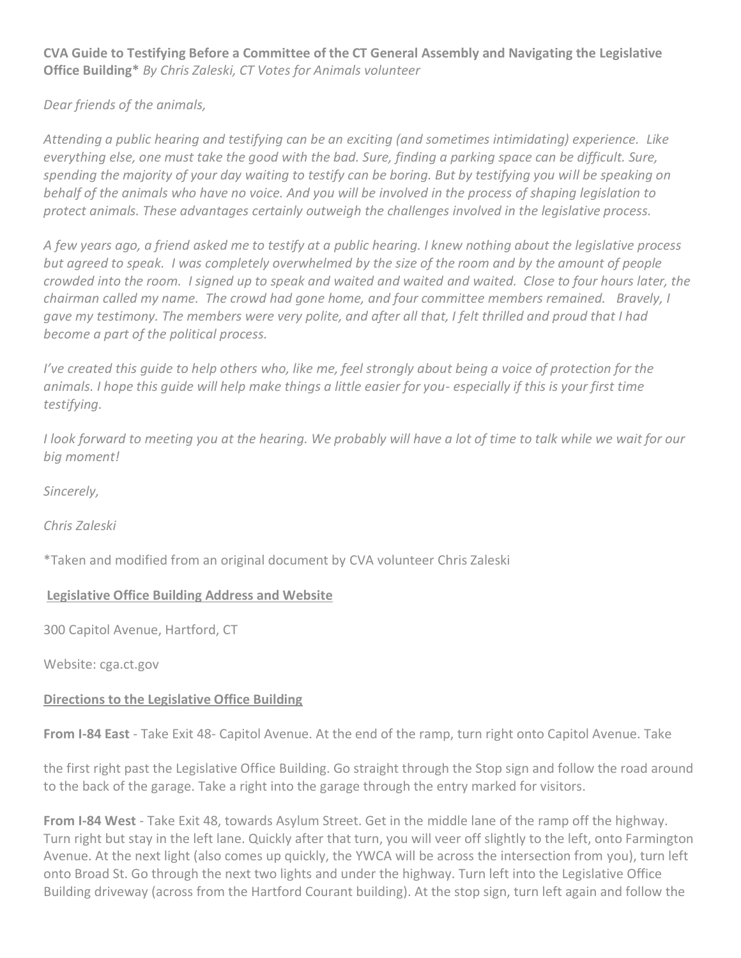**CVA Guide to Testifying Before a Committee of the CT General Assembly and Navigating the Legislative Office Building\*** *By Chris Zaleski, CT Votes for Animals volunteer*

*Dear friends of the animals,*

*Attending a public hearing and testifying can be an exciting (and sometimes intimidating) experience. Like everything else, one must take the good with the bad. Sure, finding a parking space can be difficult. Sure, spending the majority of your day waiting to testify can be boring. But by testifying you will be speaking on behalf of the animals who have no voice. And you will be involved in the process of shaping legislation to protect animals. These advantages certainly outweigh the challenges involved in the legislative process.*

*A few years ago, a friend asked me to testify at a public hearing. I knew nothing about the legislative process but agreed to speak. I was completely overwhelmed by the size of the room and by the amount of people crowded into the room. I signed up to speak and waited and waited and waited. Close to four hours later, the chairman called my name. The crowd had gone home, and four committee members remained. Bravely, I gave my testimony. The members were very polite, and after all that, I felt thrilled and proud that I had become a part of the political process.*

*I've created this quide to help others who, like me, feel strongly about being a voice of protection for the animals. I hope this guide will help make things a little easier for you- especially if this is your first time testifying.*

*I look forward to meeting you at the hearing. We probably will have a lot of time to talk while we wait for our big moment!*

*Sincerely,*

*Chris Zaleski*

\*Taken and modified from an original document by CVA volunteer Chris Zaleski

#### **Legislative Office Building Address and Website**

300 Capitol Avenue, Hartford, CT

Website: cga.ct.gov

#### **Directions to the Legislative Office Building**

**From I-84 East** - Take Exit 48- Capitol Avenue. At the end of the ramp, turn right onto Capitol Avenue. Take

the first right past the Legislative Office Building. Go straight through the Stop sign and follow the road around to the back of the garage. Take a right into the garage through the entry marked for visitors.

**From I-84 West** - Take Exit 48, towards Asylum Street. Get in the middle lane of the ramp off the highway. Turn right but stay in the left lane. Quickly after that turn, you will veer off slightly to the left, onto Farmington Avenue. At the next light (also comes up quickly, the YWCA will be across the intersection from you), turn left onto Broad St. Go through the next two lights and under the highway. Turn left into the Legislative Office Building driveway (across from the Hartford Courant building). At the stop sign, turn left again and follow the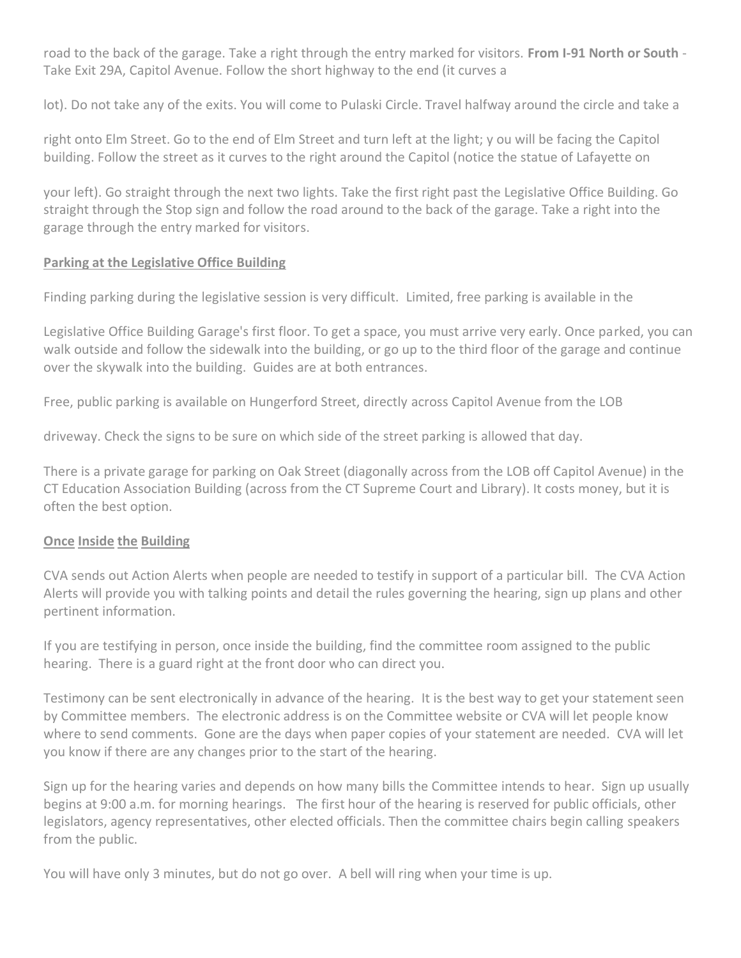road to the back of the garage. Take a right through the entry marked for visitors. **From I-91 North or South** - Take Exit 29A, Capitol Avenue. Follow the short highway to the end (it curves a

lot). Do not take any of the exits. You will come to Pulaski Circle. Travel halfway around the circle and take a

right onto Elm Street. Go to the end of Elm Street and turn left at the light; y ou will be facing the Capitol building. Follow the street as it curves to the right around the Capitol (notice the statue of Lafayette on

your left). Go straight through the next two lights. Take the first right past the Legislative Office Building. Go straight through the Stop sign and follow the road around to the back of the garage. Take a right into the garage through the entry marked for visitors.

## **Parking at the Legislative Office Building**

Finding parking during the legislative session is very difficult. Limited, free parking is available in the

Legislative Office Building Garage's first floor. To get a space, you must arrive very early. Once parked, you can walk outside and follow the sidewalk into the building, or go up to the third floor of the garage and continue over the skywalk into the building. Guides are at both entrances.

Free, public parking is available on Hungerford Street, directly across Capitol Avenue from the LOB

driveway. Check the signs to be sure on which side of the street parking is allowed that day.

There is a private garage for parking on Oak Street (diagonally across from the LOB off Capitol Avenue) in the CT Education Association Building (across from the CT Supreme Court and Library). It costs money, but it is often the best option.

## **Once Inside the Building**

CVA sends out Action Alerts when people are needed to testify in support of a particular bill. The CVA Action Alerts will provide you with talking points and detail the rules governing the hearing, sign up plans and other pertinent information.

If you are testifying in person, once inside the building, find the committee room assigned to the public hearing. There is a guard right at the front door who can direct you.

Testimony can be sent electronically in advance of the hearing. It is the best way to get your statement seen by Committee members. The electronic address is on the Committee website or CVA will let people know where to send comments. Gone are the days when paper copies of your statement are needed. CVA will let you know if there are any changes prior to the start of the hearing.

Sign up for the hearing varies and depends on how many bills the Committee intends to hear. Sign up usually begins at 9:00 a.m. for morning hearings. The first hour of the hearing is reserved for public officials, other legislators, agency representatives, other elected officials. Then the committee chairs begin calling speakers from the public.

You will have only 3 minutes, but do not go over. A bell will ring when your time is up.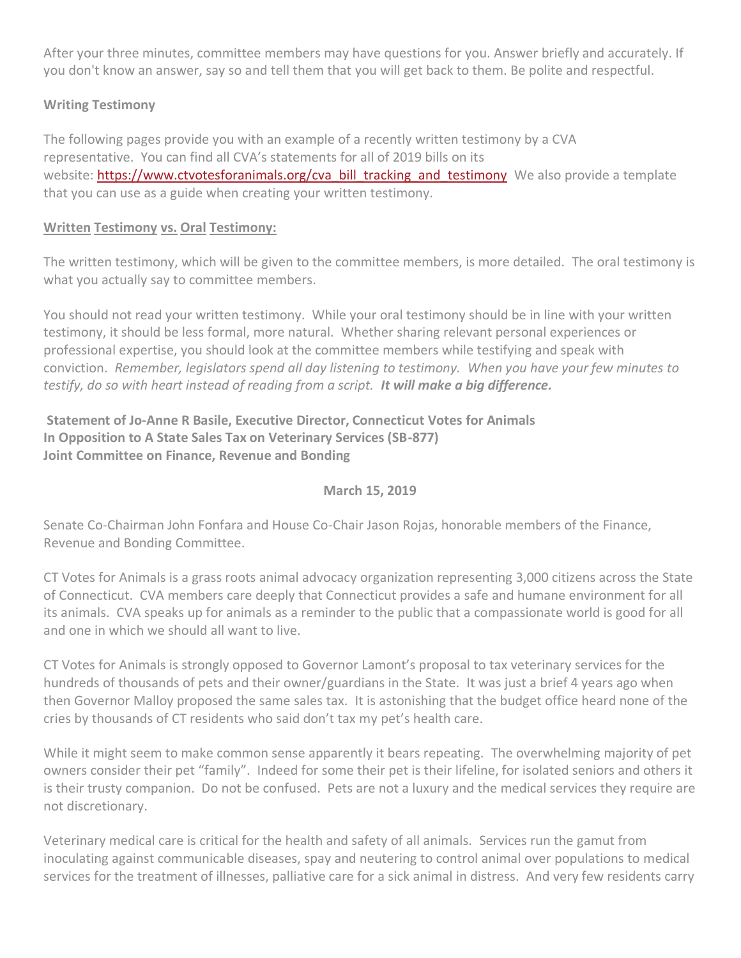After your three minutes, committee members may have questions for you. Answer briefly and accurately. If you don't know an answer, say so and tell them that you will get back to them. Be polite and respectful.

# **Writing Testimony**

The following pages provide you with an example of a recently written testimony by a CVA representative. You can find all CVA's statements for all of 2019 bills on its website: [https://www.ctvotesforanimals.org/cva\\_bill\\_tracking\\_and\\_testimony](https://www.ctvotesforanimals.org/cva_bill_tracking_and_testimony) We also provide a template that you can use as a guide when creating your written testimony.

## **Written Testimony vs. Oral Testimony:**

The written testimony, which will be given to the committee members, is more detailed. The oral testimony is what you actually say to committee members.

You should not read your written testimony. While your oral testimony should be in line with your written testimony, it should be less formal, more natural. Whether sharing relevant personal experiences or professional expertise, you should look at the committee members while testifying and speak with conviction. *Remember, legislators spend all day listening to testimony. When you have your few minutes to testify, do so with heart instead of reading from a script. It will make a big difference.*

# **Statement of Jo-Anne R Basile, Executive Director, Connecticut Votes for Animals In Opposition to A State Sales Tax on Veterinary Services (SB-877) Joint Committee on Finance, Revenue and Bonding**

#### **March 15, 2019**

Senate Co-Chairman John Fonfara and House Co-Chair Jason Rojas, honorable members of the Finance, Revenue and Bonding Committee.

CT Votes for Animals is a grass roots animal advocacy organization representing 3,000 citizens across the State of Connecticut. CVA members care deeply that Connecticut provides a safe and humane environment for all its animals. CVA speaks up for animals as a reminder to the public that a compassionate world is good for all and one in which we should all want to live.

CT Votes for Animals is strongly opposed to Governor Lamont's proposal to tax veterinary services for the hundreds of thousands of pets and their owner/guardians in the State. It was just a brief 4 years ago when then Governor Malloy proposed the same sales tax. It is astonishing that the budget office heard none of the cries by thousands of CT residents who said don't tax my pet's health care.

While it might seem to make common sense apparently it bears repeating. The overwhelming majority of pet owners consider their pet "family". Indeed for some their pet is their lifeline, for isolated seniors and others it is their trusty companion. Do not be confused. Pets are not a luxury and the medical services they require are not discretionary.

Veterinary medical care is critical for the health and safety of all animals. Services run the gamut from inoculating against communicable diseases, spay and neutering to control animal over populations to medical services for the treatment of illnesses, palliative care for a sick animal in distress. And very few residents carry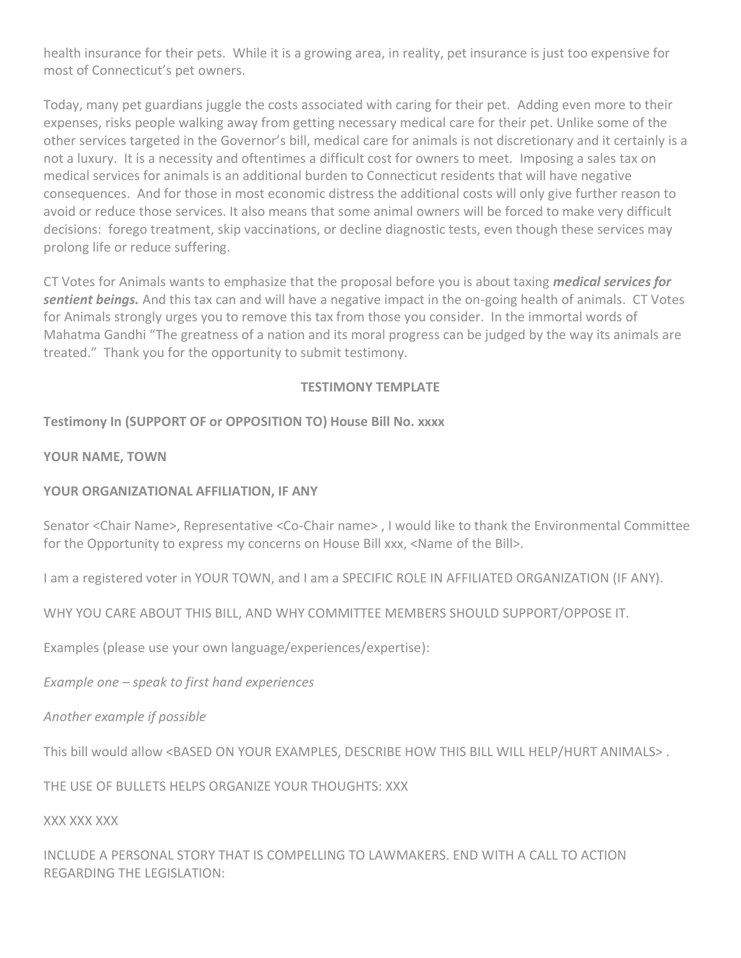health insurance for their pets. While it is a growing area, in reality, pet insurance is just too expensive for most of Connecticut's pet owners.

Today, many pet guardians juggle the costs associated with caring for their pet. Adding even more to their expenses, risks people walking away from getting necessary medical care for their pet. Unlike some of the other services targeted in the Governor's bill, medical care for animals is not discretionary and it certainly is a not a luxury. It is a necessity and oftentimes a difficult cost for owners to meet. Imposing a sales tax on medical services for animals is an additional burden to Connecticut residents that will have negative consequences. And for those in most economic distress the additional costs will only give further reason to avoid or reduce those services. It also means that some animal owners will be forced to make very difficult decisions: forego treatment, skip vaccinations, or decline diagnostic tests, even though these services may prolong life or reduce suffering.

CT Votes for Animals wants to emphasize that the proposal before you is about taxing *medical services for sentient beings.* And this tax can and will have a negative impact in the on-going health of animals. CT Votes for Animals strongly urges you to remove this tax from those you consider. In the immortal words of Mahatma Gandhi "The greatness of a nation and its moral progress can be judged by the way its animals are treated." Thank you for the opportunity to submit testimony.

### **TESTIMONY TEMPLATE**

**Testimony In (SUPPORT OF or OPPOSITION TO) House Bill No. xxxx**

**YOUR NAME, TOWN**

#### **YOUR ORGANIZATIONAL AFFILIATION, IF ANY**

Senator <Chair Name>, Representative <Co-Chair name> , I would like to thank the Environmental Committee for the Opportunity to express my concerns on House Bill xxx, <Name of the Bill>.

I am a registered voter in YOUR TOWN, and I am a SPECIFIC ROLE IN AFFILIATED ORGANIZATION (IF ANY).

WHY YOU CARE ABOUT THIS BILL, AND WHY COMMITTEE MEMBERS SHOULD SUPPORT/OPPOSE IT.

Examples (please use your own language/experiences/expertise):

*Example one – speak to first hand experiences*

*Another example if possible*

This bill would allow <BASED ON YOUR EXAMPLES, DESCRIBE HOW THIS BILL WILL HELP/HURT ANIMALS> .

THE USE OF BULLETS HELPS ORGANIZE YOUR THOUGHTS: XXX

XXX XXX XXX

INCLUDE A PERSONAL STORY THAT IS COMPELLING TO LAWMAKERS. END WITH A CALL TO ACTION REGARDING THE LEGISLATION: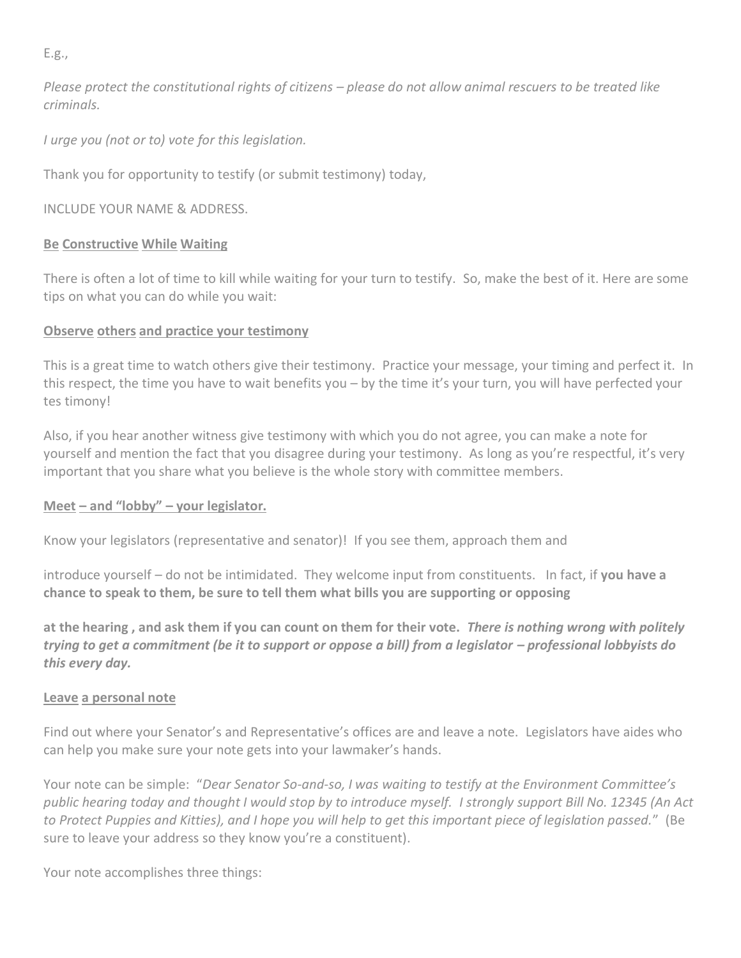E.g.,

*Please protect the constitutional rights of citizens – please do not allow animal rescuers to be treated like criminals.*

*I urge you (not or to) vote for this legislation.*

Thank you for opportunity to testify (or submit testimony) today,

INCLUDE YOUR NAME & ADDRESS.

# **Be Constructive While Waiting**

There is often a lot of time to kill while waiting for your turn to testify. So, make the best of it. Here are some tips on what you can do while you wait:

# **Observe others and practice your testimony**

This is a great time to watch others give their testimony. Practice your message, your timing and perfect it. In this respect, the time you have to wait benefits you – by the time it's your turn, you will have perfected your tes timony!

Also, if you hear another witness give testimony with which you do not agree, you can make a note for yourself and mention the fact that you disagree during your testimony. As long as you're respectful, it's very important that you share what you believe is the whole story with committee members.

## **Meet – and "lobby" – your legislator.**

Know your legislators (representative and senator)! If you see them, approach them and

introduce yourself – do not be intimidated. They welcome input from constituents. In fact, if **you have a chance to speak to them, be sure to tell them what bills you are supporting or opposing**

**at the hearing , and ask them if you can count on them for their vote.** *There is nothing wrong with politely trying to get a commitment (be it to support or oppose a bill) from a legislator – professional lobbyists do this every day.*

## **Leave a personal note**

Find out where your Senator's and Representative's offices are and leave a note. Legislators have aides who can help you make sure your note gets into your lawmaker's hands.

Your note can be simple: "*Dear Senator So-and-so, I was waiting to testify at the Environment Committee's public hearing today and thought I would stop by to introduce myself. I strongly support Bill No. 12345 (An Act to Protect Puppies and Kitties), and I hope you will help to get this important piece of legislation passed.*" (Be sure to leave your address so they know you're a constituent).

Your note accomplishes three things: